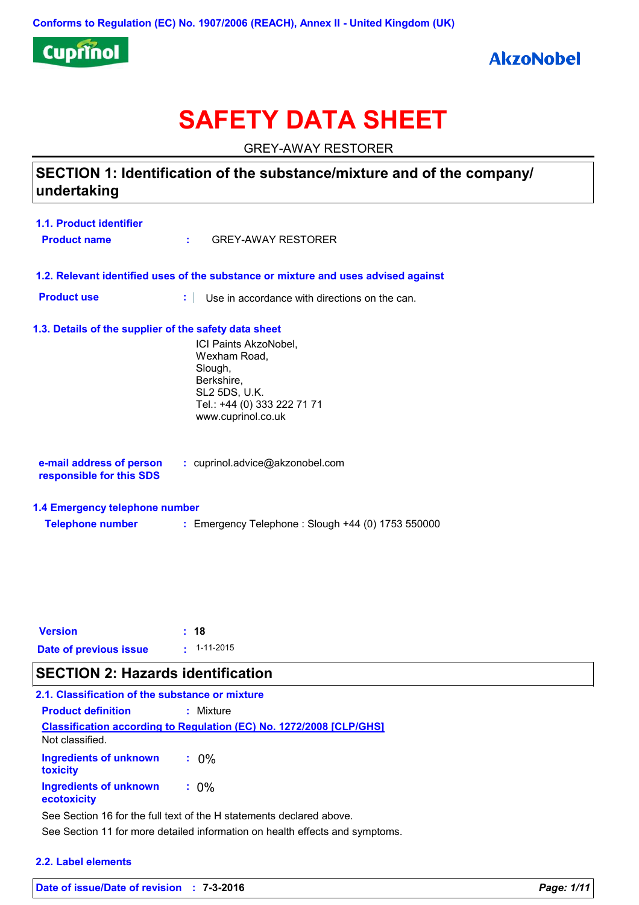

# **SAFETY DATA SHEET**

GREY-AWAY RESTORER

### **SECTION 1: Identification of the substance/mixture and of the company/ undertaking**

| 1.1. Product identifier |                    |
|-------------------------|--------------------|
| <b>Product name</b>     | GREY-AWAY RESTORER |

- **1.2. Relevant identified uses of the substance or mixture and uses advised against**
- **Product use <b>:** Use in accordance with directions on the can.

#### **1.3. Details of the supplier of the safety data sheet**

ICI Paints AkzoNobel, Wexham Road, Slough, Berkshire, SL2 5DS, U.K. Tel.: +44 (0) 333 222 71 71 www.cuprinol.co.uk

| e-mail address of person | : cuprinol.advice@akzonobel.com |  |
|--------------------------|---------------------------------|--|
| responsible for this SDS |                                 |  |

#### **1.4 Emergency telephone number**

**Telephone number :** Emergency Telephone : Slough +44 (0) 1753 550000

| <b>Version</b>         | : 18                |
|------------------------|---------------------|
| Date of previous issue | $\cdot$ : 1-11-2015 |

### **SECTION 2: Hazards identification**

| 2.1. Classification of the substance or mixture |                                                                            |
|-------------------------------------------------|----------------------------------------------------------------------------|
| <b>Product definition</b>                       | : Mixture                                                                  |
| Not classified.                                 | <b>Classification according to Regulation (EC) No. 1272/2008 [CLP/GHS]</b> |
| <b>Ingredients of unknown</b><br>toxicity       | $: 0\%$                                                                    |
| Ingredients of unknown<br>ecotoxicity           | $: 0\%$                                                                    |
|                                                 | See Section 16 for the full text of the H statements declared above.       |

See Section 11 for more detailed information on health effects and symptoms.

#### **2.2. Label elements**

**Date of issue/Date of revision : 7-3-2016** *Page: 1/11*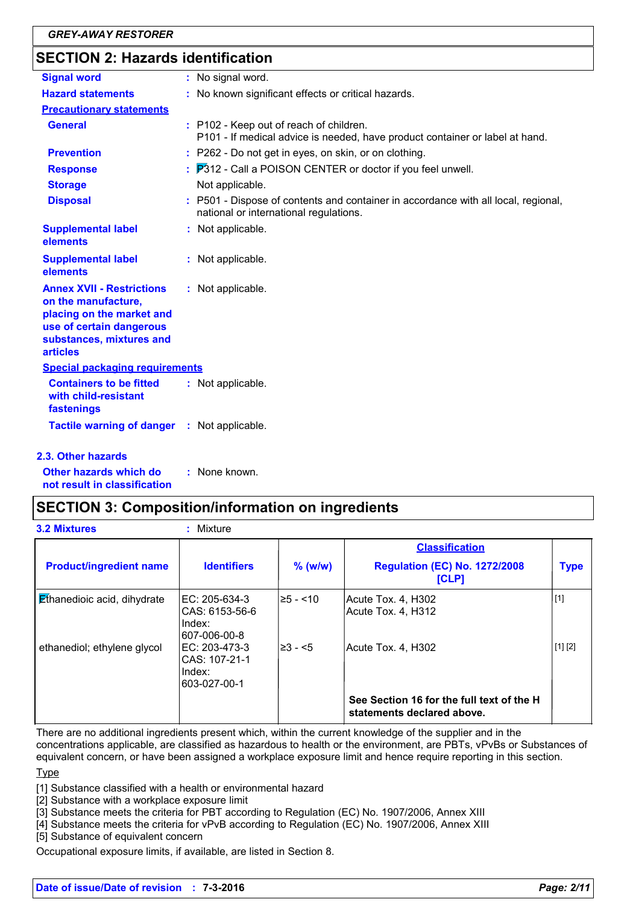### **SECTION 2: Hazards identification**

| <b>Signal word</b>                                                                                                                                              | : No signal word.                                                                                                          |
|-----------------------------------------------------------------------------------------------------------------------------------------------------------------|----------------------------------------------------------------------------------------------------------------------------|
| <b>Hazard statements</b>                                                                                                                                        | : No known significant effects or critical hazards.                                                                        |
| <b>Precautionary statements</b>                                                                                                                                 |                                                                                                                            |
| <b>General</b>                                                                                                                                                  | : P102 - Keep out of reach of children.<br>P101 - If medical advice is needed, have product container or label at hand.    |
| <b>Prevention</b>                                                                                                                                               | : P262 - Do not get in eyes, on skin, or on clothing.                                                                      |
| <b>Response</b>                                                                                                                                                 | : P312 - Call a POISON CENTER or doctor if you feel unwell.                                                                |
| <b>Storage</b>                                                                                                                                                  | Not applicable.                                                                                                            |
| <b>Disposal</b>                                                                                                                                                 | P501 - Dispose of contents and container in accordance with all local, regional,<br>national or international regulations. |
| <b>Supplemental label</b><br>elements                                                                                                                           | : Not applicable.                                                                                                          |
| <b>Supplemental label</b><br>elements                                                                                                                           | : Not applicable.                                                                                                          |
| <b>Annex XVII - Restrictions</b><br>on the manufacture,<br>placing on the market and<br>use of certain dangerous<br>substances, mixtures and<br><b>articles</b> | : Not applicable.                                                                                                          |
| <b>Special packaging requirements</b>                                                                                                                           |                                                                                                                            |
| <b>Containers to be fitted</b><br>with child-resistant<br>fastenings                                                                                            | : Not applicable.                                                                                                          |
| Tactile warning of danger : Not applicable.                                                                                                                     |                                                                                                                            |
| 2.3. Other hazards                                                                                                                                              |                                                                                                                            |

**Other hazards which do : not result in classification** : None known.

### **SECTION 3: Composition/information on ingredients**

| <b>3.2 Mixtures</b>                | Mixture<br>÷                                              |            |                                                                         |             |
|------------------------------------|-----------------------------------------------------------|------------|-------------------------------------------------------------------------|-------------|
|                                    |                                                           |            | <b>Classification</b>                                                   |             |
| <b>Product/ingredient name</b>     | <b>Identifiers</b>                                        | $%$ (w/w)  | <b>Regulation (EC) No. 1272/2008</b><br><b>[CLP]</b>                    | <b>Type</b> |
| <b>Ethanedioic acid, dihydrate</b> | EC: 205-634-3<br>CAS: 6153-56-6<br>Index:<br>607-006-00-8 | l≥5 - <10∶ | Acute Tox. 4, H302<br>Acute Tox. 4, H312                                | $[1]$       |
| ethanediol; ethylene glycol        | EC: 203-473-3<br>CAS: 107-21-1<br>Index:<br>603-027-00-1  | 1≥3 - <5   | Acute Tox. 4, H302                                                      | [1] [2]     |
|                                    |                                                           |            | See Section 16 for the full text of the H<br>statements declared above. |             |

There are no additional ingredients present which, within the current knowledge of the supplier and in the concentrations applicable, are classified as hazardous to health or the environment, are PBTs, vPvBs or Substances of equivalent concern, or have been assigned a workplace exposure limit and hence require reporting in this section.

**Type** 

[1] Substance classified with a health or environmental hazard

[2] Substance with a workplace exposure limit

[3] Substance meets the criteria for PBT according to Regulation (EC) No. 1907/2006, Annex XIII

[4] Substance meets the criteria for vPvB according to Regulation (EC) No. 1907/2006, Annex XIII

[5] Substance of equivalent concern

Occupational exposure limits, if available, are listed in Section 8.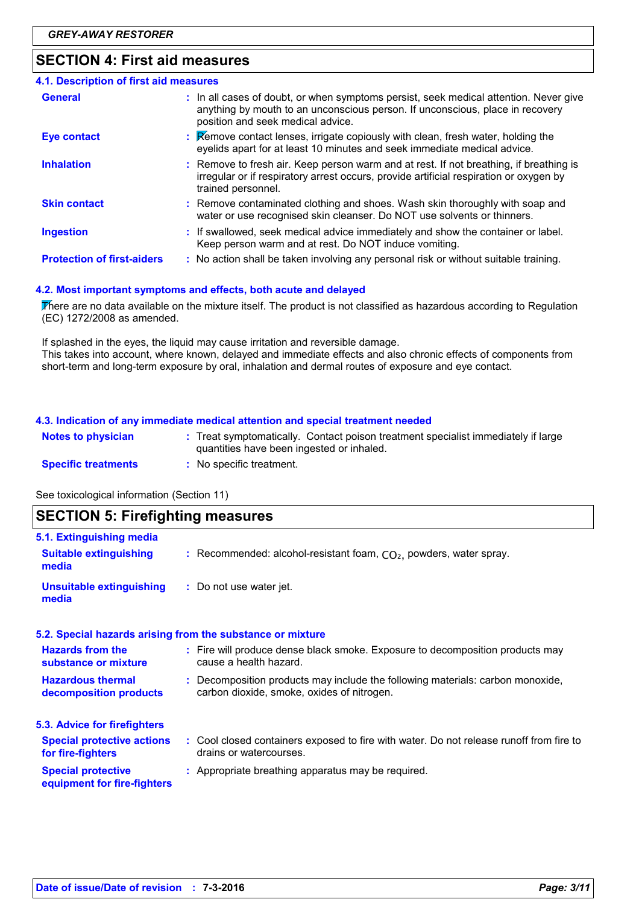### **SECTION 4: First aid measures**

| 4.1. Description of first aid measures |                                                                                                                                                                                                             |
|----------------------------------------|-------------------------------------------------------------------------------------------------------------------------------------------------------------------------------------------------------------|
| <b>General</b>                         | : In all cases of doubt, or when symptoms persist, seek medical attention. Never give<br>anything by mouth to an unconscious person. If unconscious, place in recovery<br>position and seek medical advice. |
| <b>Eye contact</b>                     | : Remove contact lenses, irrigate copiously with clean, fresh water, holding the<br>eyelids apart for at least 10 minutes and seek immediate medical advice.                                                |
| <b>Inhalation</b>                      | : Remove to fresh air. Keep person warm and at rest. If not breathing, if breathing is<br>irregular or if respiratory arrest occurs, provide artificial respiration or oxygen by<br>trained personnel.      |
| <b>Skin contact</b>                    | : Remove contaminated clothing and shoes. Wash skin thoroughly with soap and<br>water or use recognised skin cleanser. Do NOT use solvents or thinners.                                                     |
| <b>Ingestion</b>                       | : If swallowed, seek medical advice immediately and show the container or label.<br>Keep person warm and at rest. Do NOT induce vomiting.                                                                   |
| <b>Protection of first-aiders</b>      | : No action shall be taken involving any personal risk or without suitable training.                                                                                                                        |

#### **4.2. Most important symptoms and effects, both acute and delayed**

There are no data available on the mixture itself. The product is not classified as hazardous according to Regulation (EC) 1272/2008 as amended.

If splashed in the eyes, the liquid may cause irritation and reversible damage. This takes into account, where known, delayed and immediate effects and also chronic effects of components from short-term and long-term exposure by oral, inhalation and dermal routes of exposure and eye contact.

#### **4.3. Indication of any immediate medical attention and special treatment needed**

| <b>Notes to physician</b>  | : Treat symptomatically. Contact poison treatment specialist immediately if large<br>quantities have been ingested or inhaled. |
|----------------------------|--------------------------------------------------------------------------------------------------------------------------------|
| <b>Specific treatments</b> | : No specific treatment.                                                                                                       |

See toxicological information (Section 11)

| <b>SECTION 5: Firefighting measures</b>                                                                                      |
|------------------------------------------------------------------------------------------------------------------------------|
|                                                                                                                              |
| : Recommended: alcohol-resistant foam, $CO2$ , powders, water spray.                                                         |
| : Do not use water jet.                                                                                                      |
| 5.2. Special hazards arising from the substance or mixture                                                                   |
| : Fire will produce dense black smoke. Exposure to decomposition products may<br>cause a health hazard.                      |
| : Decomposition products may include the following materials: carbon monoxide,<br>carbon dioxide, smoke, oxides of nitrogen. |
|                                                                                                                              |
| : Cool closed containers exposed to fire with water. Do not release runoff from fire to<br>drains or watercourses.           |
| : Appropriate breathing apparatus may be required.                                                                           |
|                                                                                                                              |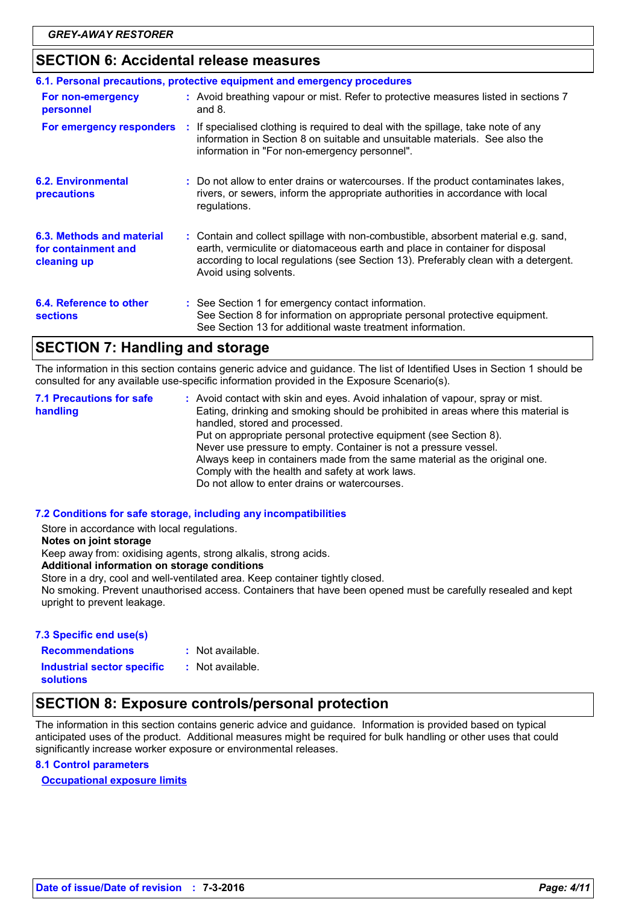### **SECTION 6: Accidental release measures**

|                                                                 | 6.1. Personal precautions, protective equipment and emergency procedures                                                                                                                                                                                                           |
|-----------------------------------------------------------------|------------------------------------------------------------------------------------------------------------------------------------------------------------------------------------------------------------------------------------------------------------------------------------|
| For non-emergency<br>personnel                                  | : Avoid breathing vapour or mist. Refer to protective measures listed in sections 7<br>and $8.$                                                                                                                                                                                    |
|                                                                 | For emergency responders : If specialised clothing is required to deal with the spillage, take note of any<br>information in Section 8 on suitable and unsuitable materials. See also the<br>information in "For non-emergency personnel".                                         |
| <b>6.2. Environmental</b><br>precautions                        | : Do not allow to enter drains or watercourses. If the product contaminates lakes,<br>rivers, or sewers, inform the appropriate authorities in accordance with local<br>regulations.                                                                                               |
| 6.3. Methods and material<br>for containment and<br>cleaning up | : Contain and collect spillage with non-combustible, absorbent material e.g. sand,<br>earth, vermiculite or diatomaceous earth and place in container for disposal<br>according to local regulations (see Section 13). Preferably clean with a detergent.<br>Avoid using solvents. |
| 6.4. Reference to other<br><b>sections</b>                      | : See Section 1 for emergency contact information.<br>See Section 8 for information on appropriate personal protective equipment.<br>See Section 13 for additional waste treatment information.                                                                                    |

### **SECTION 7: Handling and storage**

The information in this section contains generic advice and guidance. The list of Identified Uses in Section 1 should be consulted for any available use-specific information provided in the Exposure Scenario(s).

| handled, stored and processed.<br>Put on appropriate personal protective equipment (see Section 8).<br>Never use pressure to empty. Container is not a pressure vessel.<br>Always keep in containers made from the same material as the original one.<br>Comply with the health and safety at work laws.<br>Do not allow to enter drains or watercourses. | <b>7.1 Precautions for safe</b><br>handling | : Avoid contact with skin and eyes. Avoid inhalation of vapour, spray or mist.<br>Eating, drinking and smoking should be prohibited in areas where this material is |  |
|-----------------------------------------------------------------------------------------------------------------------------------------------------------------------------------------------------------------------------------------------------------------------------------------------------------------------------------------------------------|---------------------------------------------|---------------------------------------------------------------------------------------------------------------------------------------------------------------------|--|
|-----------------------------------------------------------------------------------------------------------------------------------------------------------------------------------------------------------------------------------------------------------------------------------------------------------------------------------------------------------|---------------------------------------------|---------------------------------------------------------------------------------------------------------------------------------------------------------------------|--|

#### **7.2 Conditions for safe storage, including any incompatibilities**

Store in accordance with local regulations.

**Notes on joint storage**

Keep away from: oxidising agents, strong alkalis, strong acids.

#### **Additional information on storage conditions**

Store in a dry, cool and well-ventilated area. Keep container tightly closed.

No smoking. Prevent unauthorised access. Containers that have been opened must be carefully resealed and kept upright to prevent leakage.

#### **7.3 Specific end use(s) Recommendations :**

: Not available.

**Industrial sector specific : solutions** : Not available.

### **SECTION 8: Exposure controls/personal protection**

The information in this section contains generic advice and guidance. Information is provided based on typical anticipated uses of the product. Additional measures might be required for bulk handling or other uses that could significantly increase worker exposure or environmental releases.

#### **8.1 Control parameters**

**Occupational exposure limits**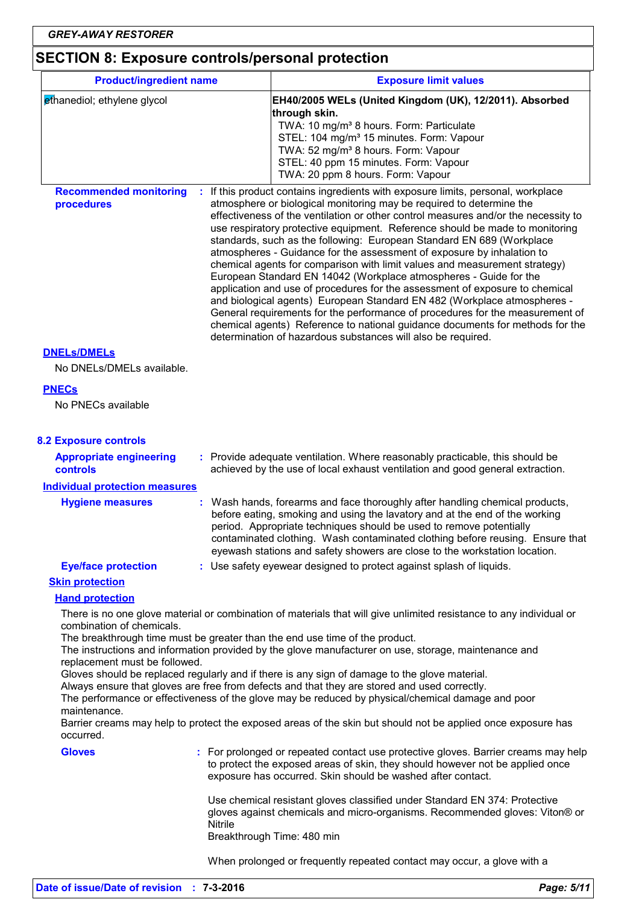# **SECTION 8: Exposure controls/personal protection**

| <b>Product/ingredient name</b>                             |         | <b>Exposure limit values</b>                                                                                                                                                                                                                                                                                                                                                                                                                                                                                                                                                                                                                                                                                                                                                                                                                                                                                                                                                                                                     |
|------------------------------------------------------------|---------|----------------------------------------------------------------------------------------------------------------------------------------------------------------------------------------------------------------------------------------------------------------------------------------------------------------------------------------------------------------------------------------------------------------------------------------------------------------------------------------------------------------------------------------------------------------------------------------------------------------------------------------------------------------------------------------------------------------------------------------------------------------------------------------------------------------------------------------------------------------------------------------------------------------------------------------------------------------------------------------------------------------------------------|
| ethanediol; ethylene glycol                                |         | EH40/2005 WELs (United Kingdom (UK), 12/2011). Absorbed                                                                                                                                                                                                                                                                                                                                                                                                                                                                                                                                                                                                                                                                                                                                                                                                                                                                                                                                                                          |
|                                                            |         | through skin.<br>TWA: 10 mg/m <sup>3</sup> 8 hours. Form: Particulate<br>STEL: 104 mg/m <sup>3</sup> 15 minutes. Form: Vapour<br>TWA: 52 mg/m <sup>3</sup> 8 hours. Form: Vapour<br>STEL: 40 ppm 15 minutes. Form: Vapour<br>TWA: 20 ppm 8 hours. Form: Vapour                                                                                                                                                                                                                                                                                                                                                                                                                                                                                                                                                                                                                                                                                                                                                                   |
| <b>Recommended monitoring</b><br>procedures                |         | If this product contains ingredients with exposure limits, personal, workplace<br>atmosphere or biological monitoring may be required to determine the<br>effectiveness of the ventilation or other control measures and/or the necessity to<br>use respiratory protective equipment. Reference should be made to monitoring<br>standards, such as the following: European Standard EN 689 (Workplace<br>atmospheres - Guidance for the assessment of exposure by inhalation to<br>chemical agents for comparison with limit values and measurement strategy)<br>European Standard EN 14042 (Workplace atmospheres - Guide for the<br>application and use of procedures for the assessment of exposure to chemical<br>and biological agents) European Standard EN 482 (Workplace atmospheres -<br>General requirements for the performance of procedures for the measurement of<br>chemical agents) Reference to national guidance documents for methods for the<br>determination of hazardous substances will also be required. |
| <b>DNELs/DMELs</b>                                         |         |                                                                                                                                                                                                                                                                                                                                                                                                                                                                                                                                                                                                                                                                                                                                                                                                                                                                                                                                                                                                                                  |
| No DNELs/DMELs available.                                  |         |                                                                                                                                                                                                                                                                                                                                                                                                                                                                                                                                                                                                                                                                                                                                                                                                                                                                                                                                                                                                                                  |
| <b>PNECs</b><br>No PNECs available                         |         |                                                                                                                                                                                                                                                                                                                                                                                                                                                                                                                                                                                                                                                                                                                                                                                                                                                                                                                                                                                                                                  |
| <b>8.2 Exposure controls</b>                               |         |                                                                                                                                                                                                                                                                                                                                                                                                                                                                                                                                                                                                                                                                                                                                                                                                                                                                                                                                                                                                                                  |
| <b>Appropriate engineering</b><br>controls                 |         | : Provide adequate ventilation. Where reasonably practicable, this should be<br>achieved by the use of local exhaust ventilation and good general extraction.                                                                                                                                                                                                                                                                                                                                                                                                                                                                                                                                                                                                                                                                                                                                                                                                                                                                    |
| <b>Individual protection measures</b>                      |         |                                                                                                                                                                                                                                                                                                                                                                                                                                                                                                                                                                                                                                                                                                                                                                                                                                                                                                                                                                                                                                  |
| <b>Hygiene measures</b>                                    |         | Wash hands, forearms and face thoroughly after handling chemical products,<br>before eating, smoking and using the lavatory and at the end of the working<br>period. Appropriate techniques should be used to remove potentially<br>contaminated clothing. Wash contaminated clothing before reusing. Ensure that<br>eyewash stations and safety showers are close to the workstation location.                                                                                                                                                                                                                                                                                                                                                                                                                                                                                                                                                                                                                                  |
| <b>Eye/face protection</b>                                 |         | : Use safety eyewear designed to protect against splash of liquids.                                                                                                                                                                                                                                                                                                                                                                                                                                                                                                                                                                                                                                                                                                                                                                                                                                                                                                                                                              |
| <b>Skin protection</b>                                     |         |                                                                                                                                                                                                                                                                                                                                                                                                                                                                                                                                                                                                                                                                                                                                                                                                                                                                                                                                                                                                                                  |
| <b>Hand protection</b>                                     |         |                                                                                                                                                                                                                                                                                                                                                                                                                                                                                                                                                                                                                                                                                                                                                                                                                                                                                                                                                                                                                                  |
| combination of chemicals.<br>replacement must be followed. |         | There is no one glove material or combination of materials that will give unlimited resistance to any individual or<br>The breakthrough time must be greater than the end use time of the product.<br>The instructions and information provided by the glove manufacturer on use, storage, maintenance and                                                                                                                                                                                                                                                                                                                                                                                                                                                                                                                                                                                                                                                                                                                       |
| maintenance.                                               |         | Gloves should be replaced regularly and if there is any sign of damage to the glove material.<br>Always ensure that gloves are free from defects and that they are stored and used correctly.<br>The performance or effectiveness of the glove may be reduced by physical/chemical damage and poor                                                                                                                                                                                                                                                                                                                                                                                                                                                                                                                                                                                                                                                                                                                               |
| occurred.                                                  |         | Barrier creams may help to protect the exposed areas of the skin but should not be applied once exposure has                                                                                                                                                                                                                                                                                                                                                                                                                                                                                                                                                                                                                                                                                                                                                                                                                                                                                                                     |
| <b>Gloves</b>                                              |         | : For prolonged or repeated contact use protective gloves. Barrier creams may help<br>to protect the exposed areas of skin, they should however not be applied once<br>exposure has occurred. Skin should be washed after contact.                                                                                                                                                                                                                                                                                                                                                                                                                                                                                                                                                                                                                                                                                                                                                                                               |
|                                                            | Nitrile | Use chemical resistant gloves classified under Standard EN 374: Protective<br>gloves against chemicals and micro-organisms. Recommended gloves: Viton® or<br>Breakthrough Time: 480 min                                                                                                                                                                                                                                                                                                                                                                                                                                                                                                                                                                                                                                                                                                                                                                                                                                          |
|                                                            |         | When prolonged or frequently repeated contact may occur, a glove with a                                                                                                                                                                                                                                                                                                                                                                                                                                                                                                                                                                                                                                                                                                                                                                                                                                                                                                                                                          |
|                                                            |         |                                                                                                                                                                                                                                                                                                                                                                                                                                                                                                                                                                                                                                                                                                                                                                                                                                                                                                                                                                                                                                  |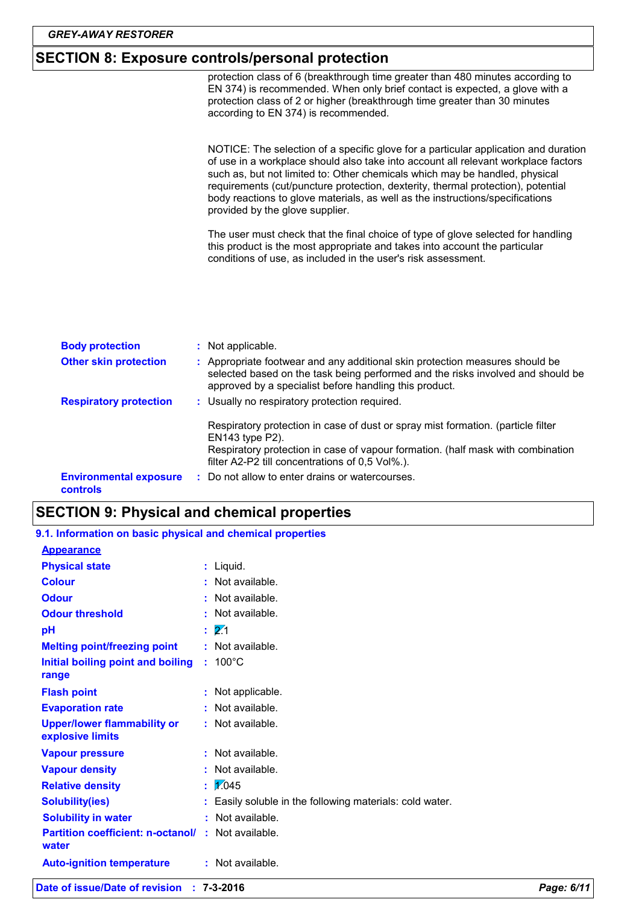### **SECTION 8: Exposure controls/personal protection**

: Usually no respiratory protection required. Respiratory protection in case of dust or spray mist formation. (particle filter EN143 type P2). Respiratory protection in case of vapour formation. (half mask with combination filter A2-P2 till concentrations of 0,5 Vol%.). : Not applicable. Do not allow to enter drains or watercourses. **: Respiratory protection : Other skin protection :** Appropriate footwear and any additional skin protection measures should be **Environmental exposure controls Body protection :** selected based on the task being performed and the risks involved and should be approved by a specialist before handling this product. protection class of 6 (breakthrough time greater than 480 minutes according to EN 374) is recommended. When only brief contact is expected, a glove with a protection class of 2 or higher (breakthrough time greater than 30 minutes according to EN 374) is recommended. NOTICE: The selection of a specific glove for a particular application and duration of use in a workplace should also take into account all relevant workplace factors such as, but not limited to: Other chemicals which may be handled, physical requirements (cut/puncture protection, dexterity, thermal protection), potential body reactions to glove materials, as well as the instructions/specifications provided by the glove supplier. The user must check that the final choice of type of glove selected for handling this product is the most appropriate and takes into account the particular conditions of use, as included in the user's risk assessment.

### **SECTION 9: Physical and chemical properties**

- **Physical state** Liquid. **: Odour** : Not available. **Colour Colour :** Not available. **Odour threshold** : Not available. **9.1. Information on basic physical and chemical properties Appearance**
	- 100°C **Initial boiling point and boiling : Melting point/freezing point range Vapour pressure Relative density Vapour density Solubility(ies) :** Not available. 1.045 **: :** Not available. **:** Not available. Easily soluble in the following materials: cold water. **: pH Evaporation rate Auto-ignition temperature Flash point :** Not available. **:** Not available. **Partition coefficient: n-octanol/ :** Not available. 2.1 **: water Upper/lower flammability or explosive limits** : Not available. **:** Not applicable. **Solubility in water :** Not available.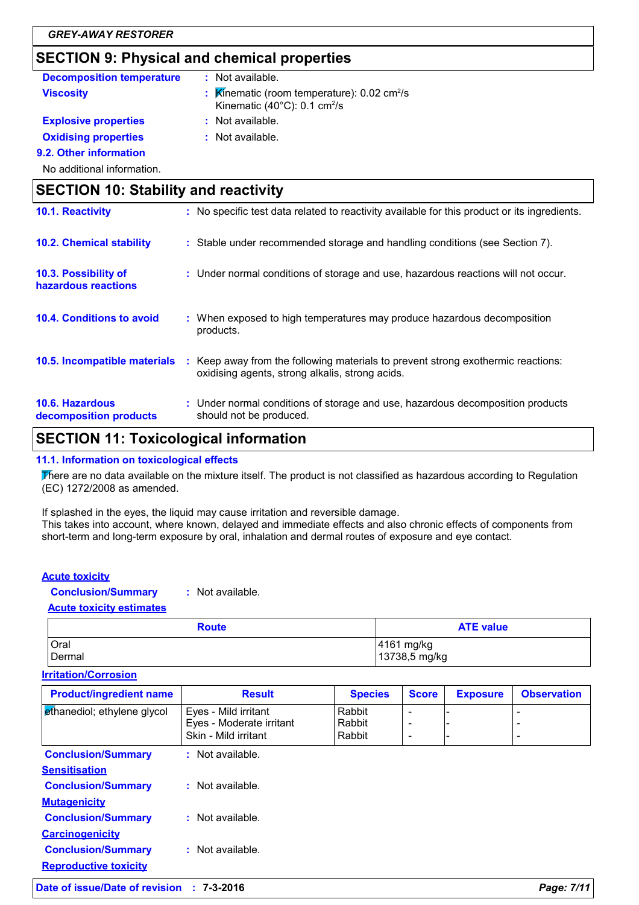### **SECTION 9: Physical and chemical properties**

| SECTION 9: Physical and chemical properties |                                                                                                                                     |  |
|---------------------------------------------|-------------------------------------------------------------------------------------------------------------------------------------|--|
| <b>Decomposition temperature</b>            | : Not available.                                                                                                                    |  |
| <b>Viscosity</b>                            | Kinematic (room temperature): $0.02 \text{ cm}^2/\text{s}$<br>Kinematic (40 $^{\circ}$ C): 0.1 cm <sup>2</sup> /s                   |  |
| <b>Explosive properties</b>                 | : Not available.                                                                                                                    |  |
| <b>Oxidising properties</b>                 | : Not available.                                                                                                                    |  |
| 9.2. Other information                      |                                                                                                                                     |  |
| No additional information.                  |                                                                                                                                     |  |
| <b>SECTION 10: Stability and reactivity</b> |                                                                                                                                     |  |
| 10.1. Reactivity                            | : No specific test data related to reactivity available for this product or its ingredients.                                        |  |
| <b>10.2. Chemical stability</b>             | : Stable under recommended storage and handling conditions (see Section 7).                                                         |  |
| 10.3. Possibility of<br>hazardous reactions | : Under normal conditions of storage and use, hazardous reactions will not occur.                                                   |  |
| <b>10.4. Conditions to avoid</b>            | : When exposed to high temperatures may produce hazardous decomposition<br>products.                                                |  |
| 10.5. Incompatible materials                | : Keep away from the following materials to prevent strong exothermic reactions:<br>oxidising agents, strong alkalis, strong acids. |  |
| 10.6. Hazardous<br>decomposition products   | : Under normal conditions of storage and use, hazardous decomposition products<br>should not be produced.                           |  |

### **SECTION 11: Toxicological information**

#### **11.1. Information on toxicological effects**

There are no data available on the mixture itself. The product is not classified as hazardous according to Regulation (EC) 1272/2008 as amended.

If splashed in the eyes, the liquid may cause irritation and reversible damage. This takes into account, where known, delayed and immediate effects and also chronic effects of components from short-term and long-term exposure by oral, inhalation and dermal routes of exposure and eye contact.

#### **Acute toxicity**

**Conclusion/Summary :** Not available.

#### **Acute toxicity estimates**

| <b>Route</b> | <b>ATE value</b> |
|--------------|------------------|
| Oral         | 4161 mg/kg       |
| Dermal       | 13738,5 mg/kg    |

#### **Irritation/Corrosion**

| <b>Product/ingredient name</b>                            | <b>Result</b>                                                            | <b>Species</b>             | <b>Score</b>                                              | <b>Exposure</b> | <b>Observation</b>       |
|-----------------------------------------------------------|--------------------------------------------------------------------------|----------------------------|-----------------------------------------------------------|-----------------|--------------------------|
| ethanediol; ethylene glycol                               | Eyes - Mild irritant<br>Eyes - Moderate irritant<br>Skin - Mild irritant | Rabbit<br>Rabbit<br>Rabbit | ۰<br>$\overline{\phantom{0}}$<br>$\overline{\phantom{0}}$ | -               | $\overline{\phantom{0}}$ |
| <b>Conclusion/Summary</b><br><b>Sensitisation</b>         | : Not available.                                                         |                            |                                                           |                 |                          |
| <b>Conclusion/Summary</b><br><b>Mutagenicity</b>          | : Not available.                                                         |                            |                                                           |                 |                          |
| <b>Conclusion/Summary</b><br><b>Carcinogenicity</b>       | : Not available.                                                         |                            |                                                           |                 |                          |
| <b>Conclusion/Summary</b><br><b>Reproductive toxicity</b> | : Not available.                                                         |                            |                                                           |                 |                          |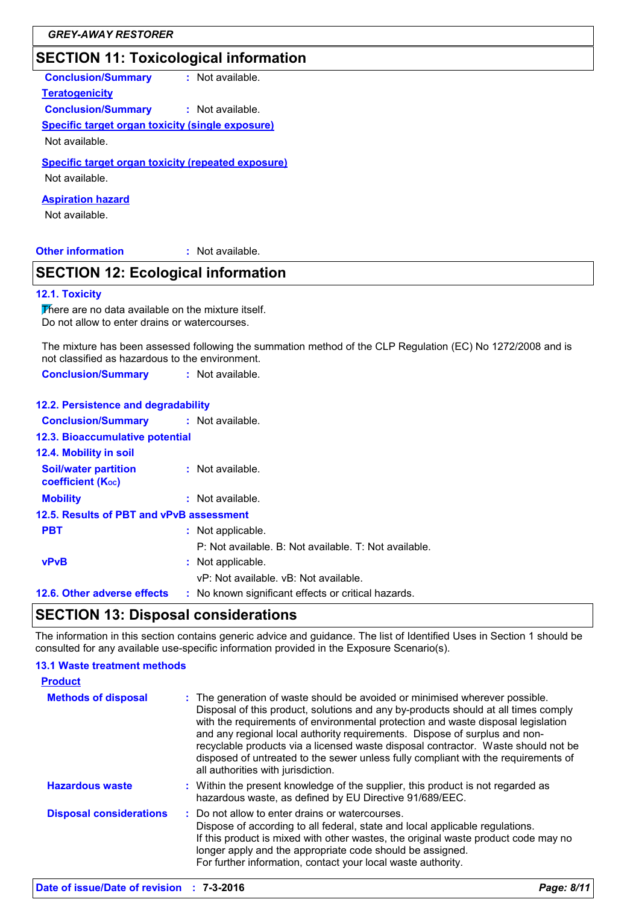### **SECTION 11: Toxicological information**

| <b>Conclusion/Summary</b> | : Not available. |
|---------------------------|------------------|
|---------------------------|------------------|

**Teratogenicity Conclusion/Summary :** Not available.

**Specific target organ toxicity (single exposure)**

Not available.

**Specific target organ toxicity (repeated exposure)**

Not available.

**Aspiration hazard**

Not available.

#### **Other information :**

: Not available.

### **SECTION 12: Ecological information**

#### **12.1. Toxicity**

There are no data available on the mixture itself. Do not allow to enter drains or watercourses.

The mixture has been assessed following the summation method of the CLP Regulation (EC) No 1272/2008 and is not classified as hazardous to the environment.

**Conclusion/Summary :** Not available.

| 12.2. Persistence and degradability                     |                                                       |
|---------------------------------------------------------|-------------------------------------------------------|
| <b>Conclusion/Summary : Not available.</b>              |                                                       |
| 12.3. Bioaccumulative potential                         |                                                       |
| <b>12.4. Mobility in soil</b>                           |                                                       |
| <b>Soil/water partition</b><br><b>coefficient (Koc)</b> | : Not available.                                      |
| <b>Mobility</b>                                         | : Not available.                                      |
| 12.5. Results of PBT and vPvB assessment                |                                                       |
| <b>PBT</b>                                              | : Not applicable.                                     |
|                                                         | P: Not available. B: Not available. T: Not available. |
| <b>vPvB</b>                                             | : Not applicable.                                     |
|                                                         | vP: Not available, vB: Not available.                 |
| 12.6. Other adverse effects                             | : No known significant effects or critical hazards.   |

### **SECTION 13: Disposal considerations**

The information in this section contains generic advice and guidance. The list of Identified Uses in Section 1 should be consulted for any available use-specific information provided in the Exposure Scenario(s).

#### **13.1 Waste treatment methods**

| <b>Product</b>                 |                                                                                                                                                                                                                                                                                                                                                                                                                                                                                                                                                      |
|--------------------------------|------------------------------------------------------------------------------------------------------------------------------------------------------------------------------------------------------------------------------------------------------------------------------------------------------------------------------------------------------------------------------------------------------------------------------------------------------------------------------------------------------------------------------------------------------|
| <b>Methods of disposal</b>     | : The generation of waste should be avoided or minimised wherever possible.<br>Disposal of this product, solutions and any by-products should at all times comply<br>with the requirements of environmental protection and waste disposal legislation<br>and any regional local authority requirements. Dispose of surplus and non-<br>recyclable products via a licensed waste disposal contractor. Waste should not be<br>disposed of untreated to the sewer unless fully compliant with the requirements of<br>all authorities with jurisdiction. |
| <b>Hazardous waste</b>         | : Within the present knowledge of the supplier, this product is not regarded as<br>hazardous waste, as defined by EU Directive 91/689/EEC.                                                                                                                                                                                                                                                                                                                                                                                                           |
| <b>Disposal considerations</b> | : Do not allow to enter drains or watercourses.<br>Dispose of according to all federal, state and local applicable regulations.<br>If this product is mixed with other wastes, the original waste product code may no<br>longer apply and the appropriate code should be assigned.<br>For further information, contact your local waste authority.                                                                                                                                                                                                   |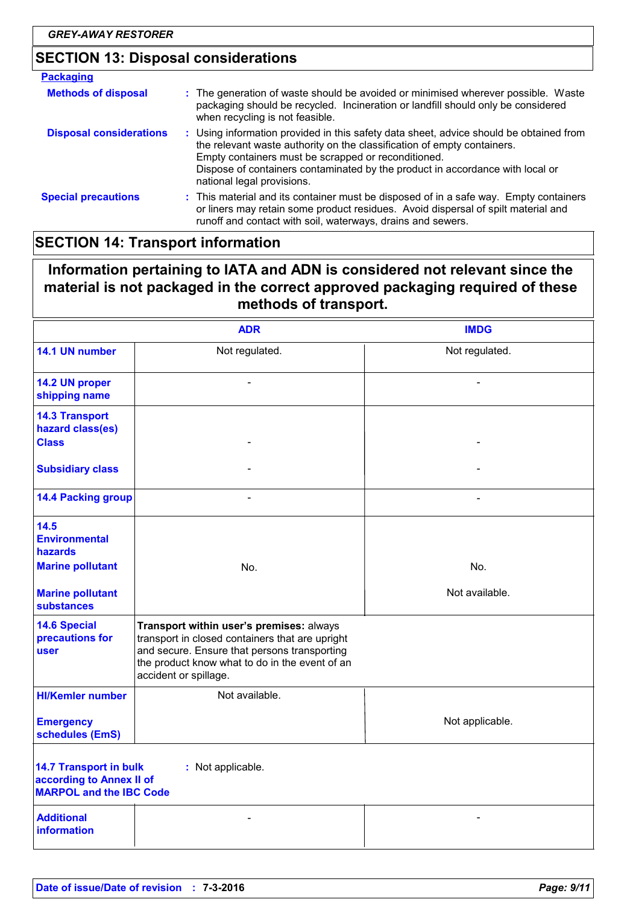## **SECTION 13: Disposal considerations**

| <b>Packaging</b>               |                                                                                                                                                                                                                                                                                                                                         |  |
|--------------------------------|-----------------------------------------------------------------------------------------------------------------------------------------------------------------------------------------------------------------------------------------------------------------------------------------------------------------------------------------|--|
| <b>Methods of disposal</b>     | : The generation of waste should be avoided or minimised wherever possible. Waste<br>packaging should be recycled. Incineration or landfill should only be considered<br>when recycling is not feasible.                                                                                                                                |  |
| <b>Disposal considerations</b> | : Using information provided in this safety data sheet, advice should be obtained from<br>the relevant waste authority on the classification of empty containers.<br>Empty containers must be scrapped or reconditioned.<br>Dispose of containers contaminated by the product in accordance with local or<br>national legal provisions. |  |
| <b>Special precautions</b>     | : This material and its container must be disposed of in a safe way. Empty containers<br>or liners may retain some product residues. Avoid dispersal of spilt material and<br>runoff and contact with soil, waterways, drains and sewers.                                                                                               |  |

### **SECTION 14: Transport information**

### **Information pertaining to IATA and ADN is considered not relevant since the material is not packaged in the correct approved packaging required of these methods of transport.**

|                                                                                                                  | <b>ADR</b>                                                                                                                                                                                                             | <b>IMDG</b>     |
|------------------------------------------------------------------------------------------------------------------|------------------------------------------------------------------------------------------------------------------------------------------------------------------------------------------------------------------------|-----------------|
| 14.1 UN number                                                                                                   | Not regulated.                                                                                                                                                                                                         | Not regulated.  |
| 14.2 UN proper<br>shipping name                                                                                  |                                                                                                                                                                                                                        |                 |
| <b>14.3 Transport</b><br>hazard class(es)<br><b>Class</b>                                                        |                                                                                                                                                                                                                        |                 |
| <b>Subsidiary class</b>                                                                                          |                                                                                                                                                                                                                        |                 |
| <b>14.4 Packing group</b>                                                                                        |                                                                                                                                                                                                                        |                 |
| 14.5<br><b>Environmental</b><br><b>hazards</b>                                                                   |                                                                                                                                                                                                                        |                 |
| <b>Marine pollutant</b>                                                                                          | No.                                                                                                                                                                                                                    | No.             |
| <b>Marine pollutant</b><br><b>substances</b>                                                                     |                                                                                                                                                                                                                        | Not available.  |
| <b>14.6 Special</b><br>precautions for<br>user                                                                   | Transport within user's premises: always<br>transport in closed containers that are upright<br>and secure. Ensure that persons transporting<br>the product know what to do in the event of an<br>accident or spillage. |                 |
| <b>HI/Kemler number</b>                                                                                          | Not available.                                                                                                                                                                                                         |                 |
| <b>Emergency</b><br>schedules (EmS)                                                                              |                                                                                                                                                                                                                        | Not applicable. |
| <b>14.7 Transport in bulk</b><br>: Not applicable.<br>according to Annex II of<br><b>MARPOL and the IBC Code</b> |                                                                                                                                                                                                                        |                 |
| <b>Additional</b><br><b>information</b>                                                                          |                                                                                                                                                                                                                        |                 |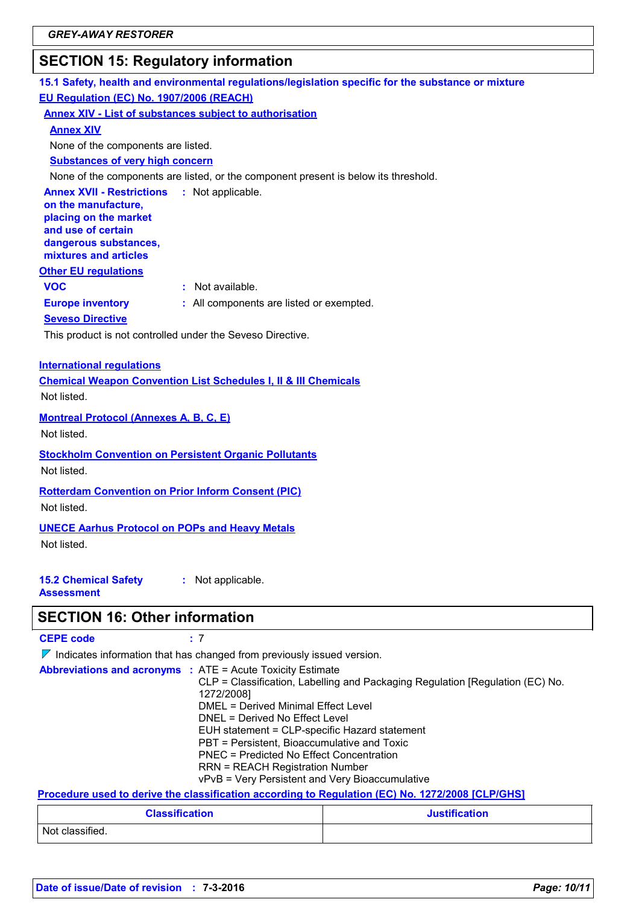### **SECTION 15: Regulatory information**

### **15.1 Safety, health and environmental regulations/legislation specific for the substance or mixture EU Regulation (EC) No. 1907/2006 (REACH)**

**Annex XIV - List of substances subject to authorisation**

**Annex XIV**

None of the components are listed.

**Substances of very high concern**

None of the components are listed, or the component present is below its threshold.

**Annex XVII - Restrictions on the manufacture, placing on the market and use of certain dangerous substances, mixtures and articles** : Not applicable.

#### **Other EU regulations**

**VOC :** Not available.

**Europe inventory :** All components are listed or exempted.

**Seveso Directive**

This product is not controlled under the Seveso Directive.

#### **International regulations**

**Chemical Weapon Convention List Schedules I, II & III Chemicals** Not listed.

**Montreal Protocol (Annexes A, B, C, E)**

Not listed.

**Stockholm Convention on Persistent Organic Pollutants** Not listed.

**Rotterdam Convention on Prior Inform Consent (PIC)**

Not listed.

**UNECE Aarhus Protocol on POPs and Heavy Metals** Not listed.

**:** Not applicable.

**15.2 Chemical Safety Assessment**

### **SECTION 16: Other information**

| <b>CEPE code</b> |  |
|------------------|--|
|------------------|--|

 $\nabla$  Indicates information that has changed from previously issued version.

| <b>Abbreviations and acronyms : ATE = Acute Toxicity Estimate</b>                                                                                                                                                                                                                                                                                                                                                            |
|------------------------------------------------------------------------------------------------------------------------------------------------------------------------------------------------------------------------------------------------------------------------------------------------------------------------------------------------------------------------------------------------------------------------------|
| CLP = Classification, Labelling and Packaging Regulation [Regulation (EC) No.                                                                                                                                                                                                                                                                                                                                                |
| 1272/2008]                                                                                                                                                                                                                                                                                                                                                                                                                   |
| DMEL = Derived Minimal Effect Level                                                                                                                                                                                                                                                                                                                                                                                          |
| DNEL = Derived No Effect Level                                                                                                                                                                                                                                                                                                                                                                                               |
| EUH statement = CLP-specific Hazard statement                                                                                                                                                                                                                                                                                                                                                                                |
| PBT = Persistent, Bioaccumulative and Toxic                                                                                                                                                                                                                                                                                                                                                                                  |
| <b>PNEC</b> = Predicted No Effect Concentration                                                                                                                                                                                                                                                                                                                                                                              |
| <b>RRN = REACH Registration Number</b>                                                                                                                                                                                                                                                                                                                                                                                       |
| vPvB = Very Persistent and Very Bioaccumulative                                                                                                                                                                                                                                                                                                                                                                              |
| $\mathbf{H} = \mathbf{H} = \mathbf{H} = \mathbf{H} = \mathbf{H} = \mathbf{H} = \mathbf{H} = \mathbf{H} = \mathbf{H} = \mathbf{H} = \mathbf{H} = \mathbf{H} = \mathbf{H} = \mathbf{H} = \mathbf{H} = \mathbf{H} = \mathbf{H} = \mathbf{H} = \mathbf{H} = \mathbf{H} = \mathbf{H} = \mathbf{H} = \mathbf{H} = \mathbf{H} = \mathbf{H} = \mathbf{H} = \mathbf{H} = \mathbf{H} = \mathbf{H} = \mathbf{H} = \mathbf{H} = \mathbf$ |

#### **Procedure used to derive the classification according to Regulation (EC) No. 1272/2008 [CLP/GHS]**

| <b>Classification</b> | <b>Justification</b> |
|-----------------------|----------------------|
| Not classified.       |                      |